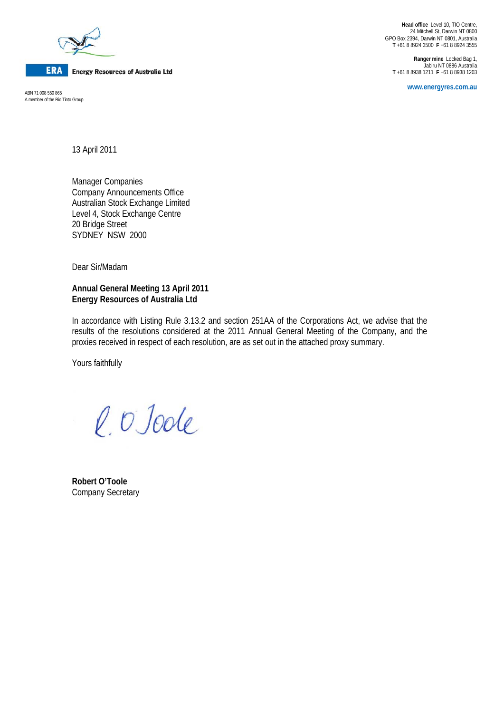

**ERA** Energy Resources of Australia Ltd

A member of the Rio Tinto Group

**Head office** Level 10, TIO Centre, 24 Mitchell St, Darwin NT 0800 GPO Box 2394, Darwin NT 0801, Australia **T** +61 8 8924 3500 **F** +61 8 8924 3555

**Ranger mine** Locked Bag 1, Jabiru NT 0886 Australia **T** +61 8 8938 1211 **F** +61 8 8938 1203

**www.energyres.com.au** ABN 71 008 550 865

13 April 2011

Manager Companies Company Announcements Office Australian Stock Exchange Limited Level 4, Stock Exchange Centre 20 Bridge Street SYDNEY NSW 2000

Dear Sir/Madam

### **Annual General Meeting 13 April 2011 Energy Resources of Australia Ltd**

In accordance with Listing Rule 3.13.2 and section 251AA of the Corporations Act, we advise that the results of the resolutions considered at the 2011 Annual General Meeting of the Company, and the proxies received in respect of each resolution, are as set out in the attached proxy summary.

Yours faithfully

l. O'Joole

**Robert O'Toole**  Company Secretary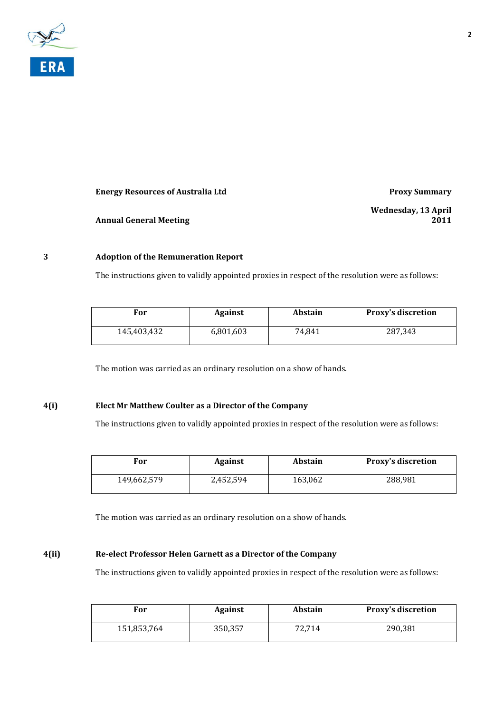

### **Energy Resources of Australia Ltd Proxy Summary**

**Annual General Meeting**

**Wednesday, 13 April 2011**

## **3 Adoption of the Remuneration Report**

The instructions given to validly appointed proxies in respect of the resolution were as follows:

| For         | <b>Against</b> | <b>Abstain</b> | <b>Proxy's discretion</b> |
|-------------|----------------|----------------|---------------------------|
| 145,403,432 | 6,801,603      | 74,841         | 287,343                   |

The motion was carried as an ordinary resolution on a show of hands.

### **4(i) Elect Mr Matthew Coulter as a Director of the Company**

The instructions given to validly appointed proxies in respect of the resolution were as follows:

| For         | <b>Against</b> | <b>Abstain</b> | <b>Proxy's discretion</b> |
|-------------|----------------|----------------|---------------------------|
| 149,662,579 | 2,452,594      | 163,062        | 288,981                   |

The motion was carried as an ordinary resolution on a show of hands.

#### **4(ii) Reelect Professor Helen Garnett as a Director of the Company**

The instructions given to validly appointed proxies in respect of the resolution were as follows:

| For         | <b>Against</b> | <b>Abstain</b> | <b>Proxy's discretion</b> |
|-------------|----------------|----------------|---------------------------|
| 151,853,764 | 350,357        | 72,714         | 290,381                   |